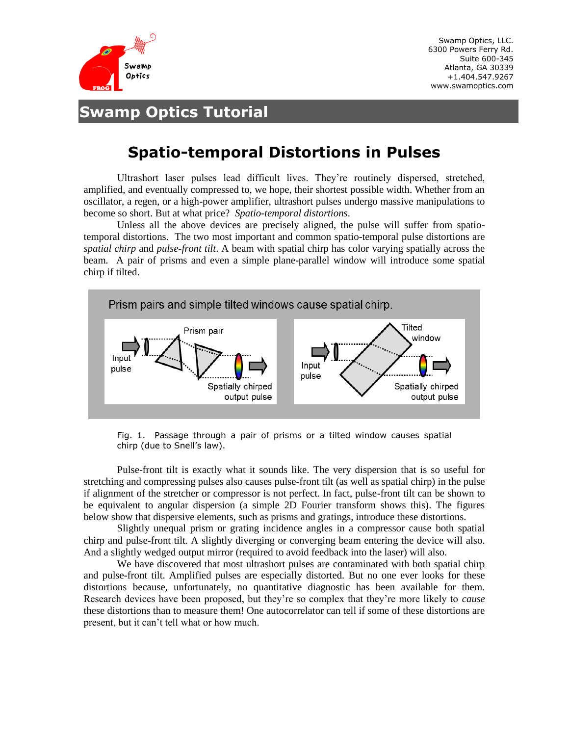

Swamp Optics, LLC. 6300 Powers Ferry Rd. Suite 600-345 Atlanta, GA 30339 +1.404.547.9267 www.swamoptics.com

## **Swamp Optics Tutorial**

## **Spatio-temporal Distortions in Pulses**

Ultrashort laser pulses lead difficult lives. They're routinely dispersed, stretched, amplified, and eventually compressed to, we hope, their shortest possible width. Whether from an oscillator, a regen, or a high-power amplifier, ultrashort pulses undergo massive manipulations to become so short. But at what price? *Spatio-temporal distortions*.

Unless all the above devices are precisely aligned, the pulse will suffer from spatiotemporal distortions. The two most important and common spatio-temporal pulse distortions are *spatial chirp* and *pulse-front tilt*. A beam with spatial chirp has color varying spatially across the beam. A pair of prisms and even a simple plane-parallel window will introduce some spatial chirp if tilted.



Fig. 1. Passage through a pair of prisms or a tilted window causes spatial chirp (due to Snell's law).

Pulse-front tilt is exactly what it sounds like. The very dispersion that is so useful for stretching and compressing pulses also causes pulse-front tilt (as well as spatial chirp) in the pulse if alignment of the stretcher or compressor is not perfect. In fact, pulse-front tilt can be shown to be equivalent to angular dispersion (a simple 2D Fourier transform shows this). The figures below show that dispersive elements, such as prisms and gratings, introduce these distortions.

Slightly unequal prism or grating incidence angles in a compressor cause both spatial chirp and pulse-front tilt. A slightly diverging or converging beam entering the device will also. And a slightly wedged output mirror (required to avoid feedback into the laser) will also.

We have discovered that most ultrashort pulses are contaminated with both spatial chirp and pulse-front tilt. Amplified pulses are especially distorted. But no one ever looks for these distortions because, unfortunately, no quantitative diagnostic has been available for them. Research devices have been proposed, but they're so complex that they're more likely to *cause* these distortions than to measure them! One autocorrelator can tell if some of these distortions are present, but it can't tell what or how much.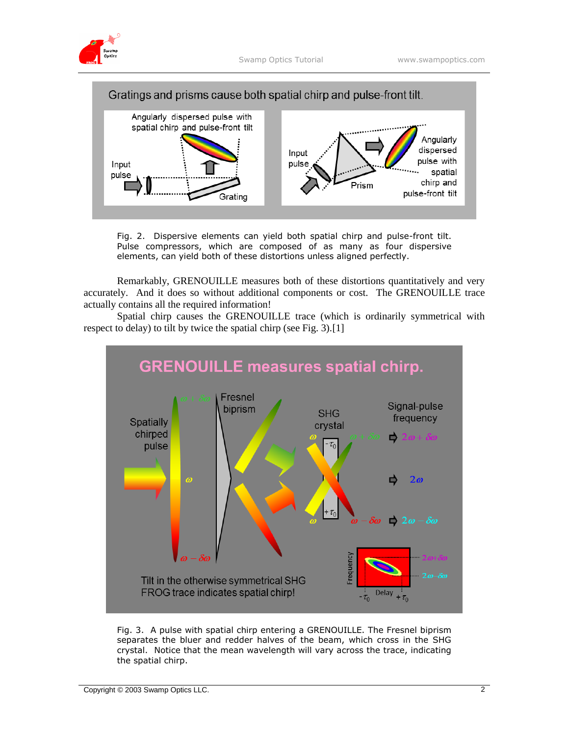



Fig. 2. Dispersive elements can yield both spatial chirp and pulse-front tilt. Pulse compressors, which are composed of as many as four dispersive elements, can yield both of these distortions unless aligned perfectly.

Remarkably, GRENOUILLE measures both of these distortions quantitatively and very accurately. And it does so without additional components or cost. The GRENOUILLE trace actually contains all the required information!

Spatial chirp causes the GRENOUILLE trace (which is ordinarily symmetrical with respect to delay) to tilt by twice the spatial chirp (see Fig. 3).[1]



Fig. 3. A pulse with spatial chirp entering a GRENOUILLE. The Fresnel biprism separates the bluer and redder halves of the beam, which cross in the SHG crystal. Notice that the mean wavelength will vary across the trace, indicating the spatial chirp.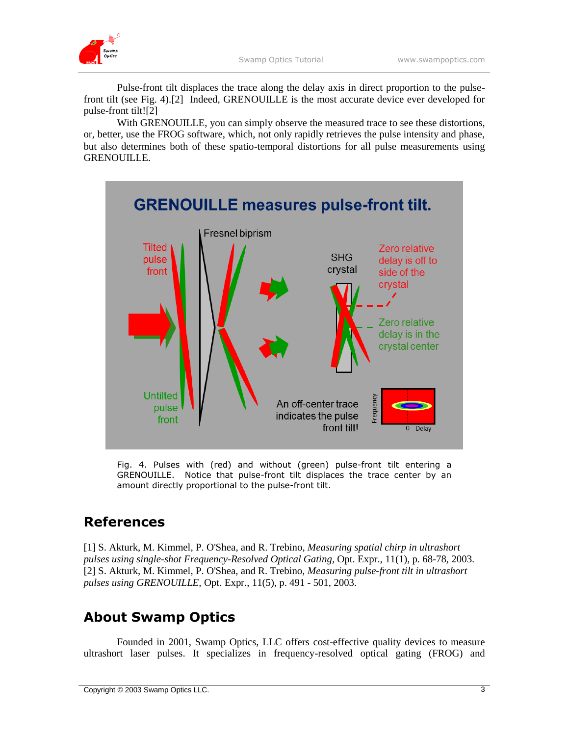

Pulse-front tilt displaces the trace along the delay axis in direct proportion to the pulsefront tilt (see Fig. 4).[2] Indeed, GRENOUILLE is the most accurate device ever developed for pulse-front tilt![2]

With GRENOUILLE, you can simply observe the measured trace to see these distortions, or, better, use the FROG software, which, not only rapidly retrieves the pulse intensity and phase, but also determines both of these spatio-temporal distortions for all pulse measurements using GRENOUILLE.



Fig. 4. Pulses with (red) and without (green) pulse-front tilt entering a GRENOUILLE. Notice that pulse-front tilt displaces the trace center by an amount directly proportional to the pulse-front tilt.

## **References**

[1] S. Akturk, M. Kimmel, P. O'Shea, and R. Trebino, *Measuring spatial chirp in ultrashort pulses using single-shot Frequency-Resolved Optical Gating,* Opt. Expr., 11(1), p. 68-78, 2003. [2] S. Akturk, M. Kimmel, P. O'Shea, and R. Trebino, *Measuring pulse-front tilt in ultrashort pulses using GRENOUILLE,* Opt. Expr., 11(5), p. 491 - 501, 2003.

## **About Swamp Optics**

Founded in 2001, Swamp Optics, LLC offers cost-effective quality devices to measure ultrashort laser pulses. It specializes in frequency-resolved optical gating (FROG) and